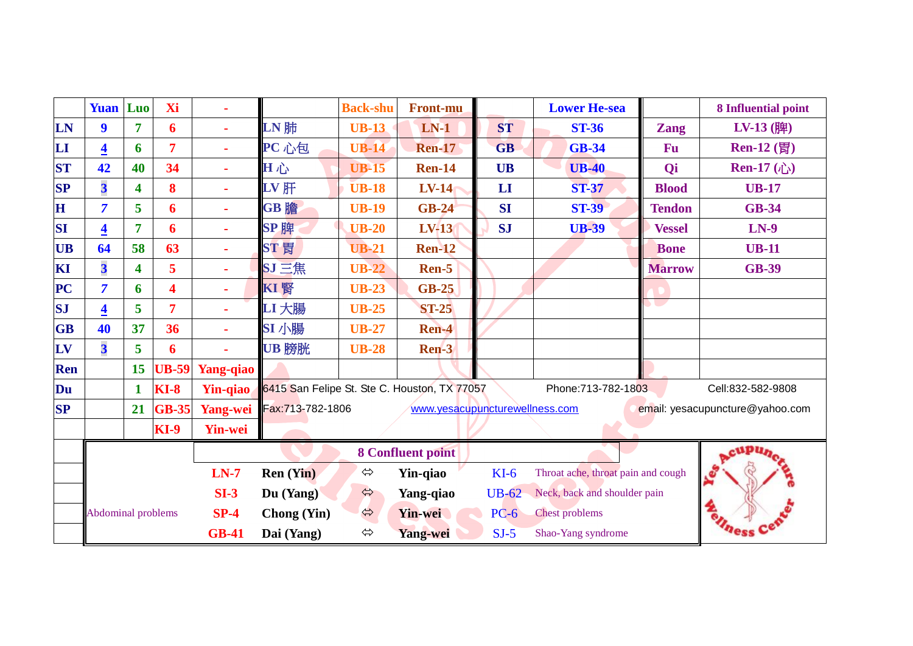|                          | <b>Yuan</b> Luo           |                | Xi                            |                  |                                                       | <b>Back-shu</b>   | <b>Front-mu</b>                |                                    | <b>Lower He-sea</b>   |                   | 8 Influential point             |  |
|--------------------------|---------------------------|----------------|-------------------------------|------------------|-------------------------------------------------------|-------------------|--------------------------------|------------------------------------|-----------------------|-------------------|---------------------------------|--|
| LN                       | $\boldsymbol{9}$          | 7              | 6                             |                  | $LN$ 肺                                                | <b>UB-13</b>      | $LN-1$                         | <b>ST</b>                          | <b>ST-36</b>          | <b>Zang</b>       | $LV-13$ (脾)                     |  |
| $\mathbf{L}\mathbf{I}$   | $\overline{\mathbf{4}}$   | 6              | 7                             |                  | PC 心包                                                 | <b>UB-14</b>      | <b>Ren-17</b>                  | <b>GB</b>                          | <b>GB-34</b>          | <b>Fu</b>         | $Ren-12$ (胃)                    |  |
| <b>ST</b>                | 42                        | 40             | 34                            |                  | 田心                                                    | <b>UB-15</b>      | <b>Ren-14</b>                  | <b>UB</b>                          | $UB-40$               | Qi                | Ren-17 $(\hat{C})$              |  |
| <b>SP</b>                | 3                         | 4              | 8                             |                  | $LV$ 肝                                                | <b>UB-18</b>      | <b>LV-14</b>                   | LI                                 | <b>ST-37</b>          | <b>Blood</b>      | <b>UB-17</b>                    |  |
| H                        | $\overline{7}$            | 5              | 6                             |                  | GB 膽                                                  | <b>UB-19</b>      | <b>GB-24</b>                   | <b>SI</b>                          | <b>ST-39</b>          | <b>Tendon</b>     | <b>GB-34</b>                    |  |
| SI                       | $\overline{\mathbf{4}}$   | $\overline{7}$ | 6                             |                  | SP 脾                                                  | <b>UB-20</b>      | LV-13                          | <b>SJ</b>                          | <b>UB-39</b>          | <b>Vessel</b>     | $LN-9$                          |  |
| <b>UB</b>                | 64                        | 58             | 63                            |                  | ST 胃                                                  | <b>UB-21</b>      | <b>Ren-12</b>                  |                                    |                       | <b>Bone</b>       | <b>UB-11</b>                    |  |
| KI                       | $\overline{\mathbf{3}}$   | 4              | 5                             |                  | SJ三焦                                                  | <b>UB-22</b>      | Ren-5                          |                                    |                       | <b>Marrow</b>     | <b>GB-39</b>                    |  |
| $\overline{\mathbf{PC}}$ | $\overline{7}$            | 6              | $\overline{\mathbf{4}}$       |                  | KI 腎                                                  | <b>UB-23</b>      | <b>GB-25</b>                   |                                    |                       |                   |                                 |  |
| <b>SJ</b>                | $\overline{4}$            | 5              | 7                             |                  | LI 大腸                                                 | <b>UB-25</b>      | <b>ST-25</b>                   |                                    |                       | SU J              |                                 |  |
| <b>GB</b>                | 40                        | 37             | 36                            |                  | SI 小腸                                                 | <b>UB-27</b>      | Ren-4                          |                                    |                       |                   |                                 |  |
| LV                       | $\overline{\mathbf{3}}$   | 5              | 6                             |                  | UB 膀胱                                                 | <b>UB-28</b>      | Ren-3                          |                                    |                       |                   |                                 |  |
| <b>Ren</b>               |                           | 15             | <b>UB-59</b>                  | Yang-qiao        |                                                       |                   |                                |                                    |                       |                   |                                 |  |
| Du                       |                           | $\mathbf{1}$   | $KI-8$                        |                  | Yin-qiao 6415 San Felipe St. Ste C. Houston, TX 77057 |                   |                                |                                    | Phone: 713-782-1803   | Cell:832-582-9808 |                                 |  |
| <b>SP</b>                |                           | 21             | <b>GB-35</b>                  | Yang-wei         | Fax:713-782-1806                                      |                   | www.yesacupuncturewellness.com |                                    |                       |                   | email: yesacupuncture@yahoo.com |  |
|                          |                           |                | <b>KI-9</b><br><b>Yin-wei</b> |                  |                                                       |                   |                                |                                    |                       |                   |                                 |  |
|                          |                           |                |                               |                  |                                                       |                   | <b>8 Confluent point</b>       |                                    |                       |                   |                                 |  |
|                          |                           |                | $LN-7$                        | <b>Ren</b> (Yin) | $\Leftrightarrow$                                     | Yin-qiao          | $KI-6$                         | Throat ache, throat pain and cough |                       |                   |                                 |  |
|                          |                           |                | $SI-3$                        | Du (Yang)        | $\Leftrightarrow$                                     | Yang-qiao         | <b>UB-62</b>                   | Neck, back and shoulder pain       |                       |                   |                                 |  |
|                          | <b>Abdominal problems</b> |                |                               | $SP-4$           | <b>Chong</b> (Yin)                                    | $\hat{v}$         | <b>Yin-wei</b>                 | $PC-6$                             | <b>Chest problems</b> |                   |                                 |  |
|                          |                           |                |                               | <b>GB-41</b>     | Dai (Yang)                                            | $\Leftrightarrow$ | <b>Yang-wei</b>                | $SJ-5$                             | Shao-Yang syndrome    |                   |                                 |  |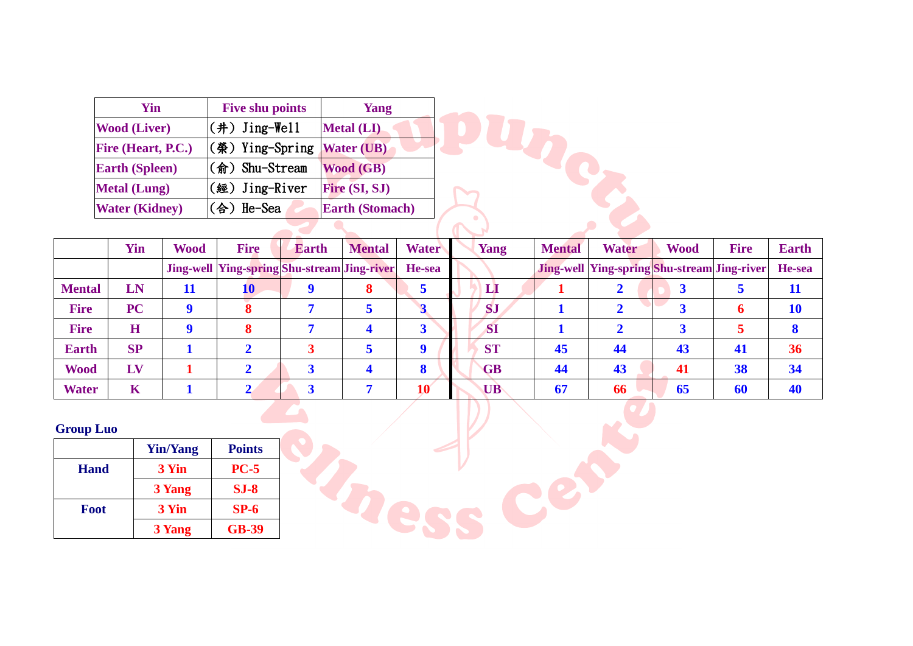| Yin                   | <b>Five shu points</b>      | Yang                   |  |
|-----------------------|-----------------------------|------------------------|--|
| <b>Wood (Liver)</b>   | $(\#)$ Jing-Well            | <b>Metal (LI)</b>      |  |
| Fire (Heart, P.C.)    | $(\circledast)$ Ying-Spring | <b>Water (UB)</b>      |  |
| <b>Earth (Spleen)</b> | (俞) Shu-Stream              | <b>Wood (GB)</b>       |  |
| <b>Metal (Lung)</b>   | (經) Jing-River              | Fire (SI, SJ)          |  |
| <b>Water (Kidney)</b> | (合)He-Sea                   | <b>Earth (Stomach)</b> |  |
|                       |                             |                        |  |

|               | $max_{y}$<br>$\mathbf{u}$ $\mathbf{v}$ and $\mathbf{v}$<br><b>Early (Divillacii)</b> |             |                                                    |              |                       |              |           |               |                                                    |             |             |              |
|---------------|--------------------------------------------------------------------------------------|-------------|----------------------------------------------------|--------------|-----------------------|--------------|-----------|---------------|----------------------------------------------------|-------------|-------------|--------------|
|               |                                                                                      |             |                                                    |              |                       |              |           |               |                                                    |             |             |              |
|               | Yin                                                                                  | <b>Wood</b> | <b>Fire</b>                                        | <b>Earth</b> | <b>Mental</b>         | <b>Water</b> | Yang      | <b>Mental</b> | <b>Water</b>                                       | <b>Wood</b> | <b>Fire</b> | <b>Earth</b> |
|               |                                                                                      |             | <b>Jing-well Ying-spring Shu-stream Jing-river</b> |              |                       | He-sea       |           |               | <b>Jing-well Ying-spring Shu-stream Jing-river</b> |             |             | He-sea       |
| <b>Mental</b> | LN                                                                                   | 11          | 10                                                 |              | 8                     |              | LI        |               |                                                    |             |             | 11           |
| <b>Fire</b>   | <b>PC</b>                                                                            | <b>Q</b>    |                                                    |              | 5                     |              | <b>SJ</b> |               | ◠                                                  |             | 6           | 10           |
| <b>Fire</b>   | H                                                                                    | Q           |                                                    |              | $\boldsymbol{4}$      | 3            | <b>SI</b> |               | ◠                                                  |             |             | 8            |
| <b>Earth</b>  | SP                                                                                   |             |                                                    |              | 5                     |              | <b>ST</b> | 45            | 44                                                 | 43          | 41          | 36           |
| <b>Wood</b>   | LV                                                                                   |             |                                                    |              | $\boldsymbol{\Delta}$ | 8            | <b>GB</b> | 44            | 43                                                 | 41          | 38          | 34           |
| <b>Water</b>  | K                                                                                    |             |                                                    |              |                       | 10           | UB        | 67            | 66                                                 | 65          | 60          | 40           |

B

C

## **Group Luo**

|             | <b>Yin/Yang</b> | <b>Points</b> |  |
|-------------|-----------------|---------------|--|
| <b>Hand</b> | 3 Yin           | $PC-5$        |  |
|             | 3 Yang          | $SJ-8$        |  |
| Foot        | 3 Yin           | $SP-6$        |  |
|             | 3 Yang          | <b>GB-39</b>  |  |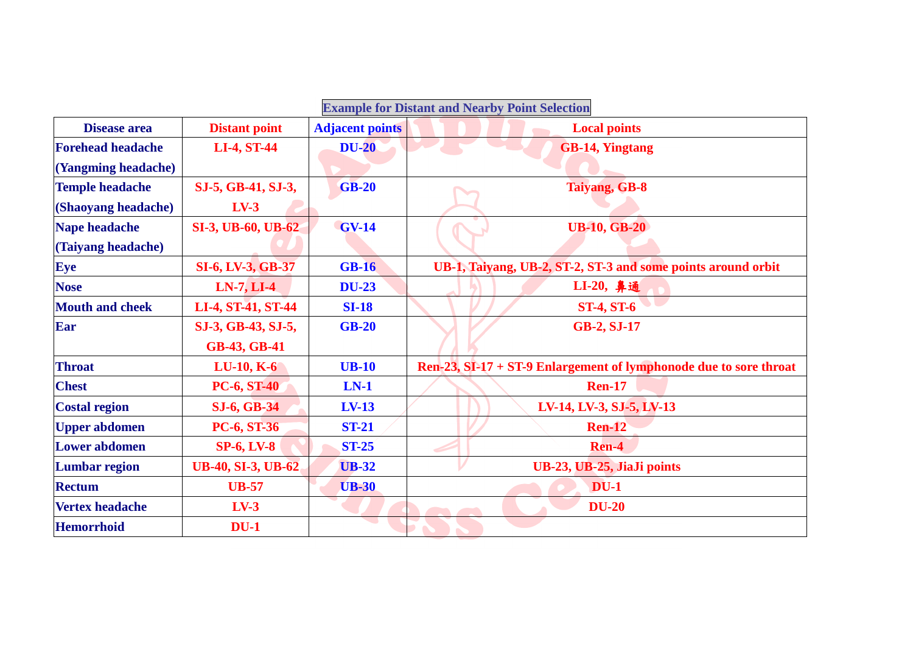| <b>Example for Distant and Nearby Point Selection</b> |                           |                        |                                                                   |  |  |  |
|-------------------------------------------------------|---------------------------|------------------------|-------------------------------------------------------------------|--|--|--|
| <b>Disease area</b>                                   | <b>Distant point</b>      | <b>Adjacent points</b> | <b>Local points</b>                                               |  |  |  |
| <b>Forehead headache</b>                              | <b>LI-4, ST-44</b>        | <b>DU-20</b>           | <b>GB-14, Yingtang</b>                                            |  |  |  |
| (Yangming headache)                                   |                           |                        |                                                                   |  |  |  |
| <b>Temple headache</b>                                | SJ-5, GB-41, SJ-3,        | <b>GB-20</b>           | <b>Taiyang, GB-8</b>                                              |  |  |  |
| (Shaoyang headache)                                   | $LV-3$                    |                        |                                                                   |  |  |  |
| Nape headache                                         | <b>SI-3, UB-60, UB-62</b> | <b>GV-14</b>           | <b>UB-10, GB-20</b>                                               |  |  |  |
| (Taiyang headache)                                    |                           |                        |                                                                   |  |  |  |
| Eye                                                   | <b>SI-6, LV-3, GB-37</b>  | <b>GB-16</b>           | UB-1, Taiyang, UB-2, ST-2, ST-3 and some points around orbit      |  |  |  |
| <b>Nose</b>                                           | $LN-7, LI-4$              | <b>DU-23</b>           | LI-20, 鼻通                                                         |  |  |  |
| <b>Mouth and cheek</b>                                | LI-4, ST-41, ST-44        | <b>SI-18</b>           | <b>ST-4, ST-6</b>                                                 |  |  |  |
| Ear                                                   | SJ-3, GB-43, SJ-5,        | <b>GB-20</b>           | <b>GB-2, SJ-17</b>                                                |  |  |  |
|                                                       | <b>GB-43, GB-41</b>       |                        |                                                                   |  |  |  |
| <b>Throat</b>                                         | $LU-10, K-6$              | <b>UB-10</b>           | Ren-23, SI-17 + ST-9 Enlargement of lymphonode due to sore throat |  |  |  |
| <b>Chest</b>                                          | <b>PC-6, ST-40</b>        | $LN-1$                 | <b>Ren-17</b>                                                     |  |  |  |
| <b>Costal region</b>                                  | <b>SJ-6, GB-34</b>        | $LV-13$                | LV-14, LV-3, SJ-5, LV-13                                          |  |  |  |
| <b>Upper abdomen</b>                                  | <b>PC-6, ST-36</b>        | <b>ST-21</b>           | <b>Ren-12</b>                                                     |  |  |  |
| <b>Lower abdomen</b>                                  | <b>SP-6, LV-8</b>         | <b>ST-25</b>           | Ren-4                                                             |  |  |  |
| <b>Lumbar region</b>                                  | <b>UB-40, SI-3, UB-62</b> | <b>UB-32</b>           | UB-23, UB-25, JiaJi points                                        |  |  |  |
| <b>Rectum</b>                                         | <b>UB-57</b>              | <b>UB-30</b>           | $DU-1$                                                            |  |  |  |
| <b>Vertex headache</b>                                | $LV-3$                    |                        | <b>DU-20</b>                                                      |  |  |  |
| <b>Hemorrhoid</b>                                     | $DU-1$                    |                        |                                                                   |  |  |  |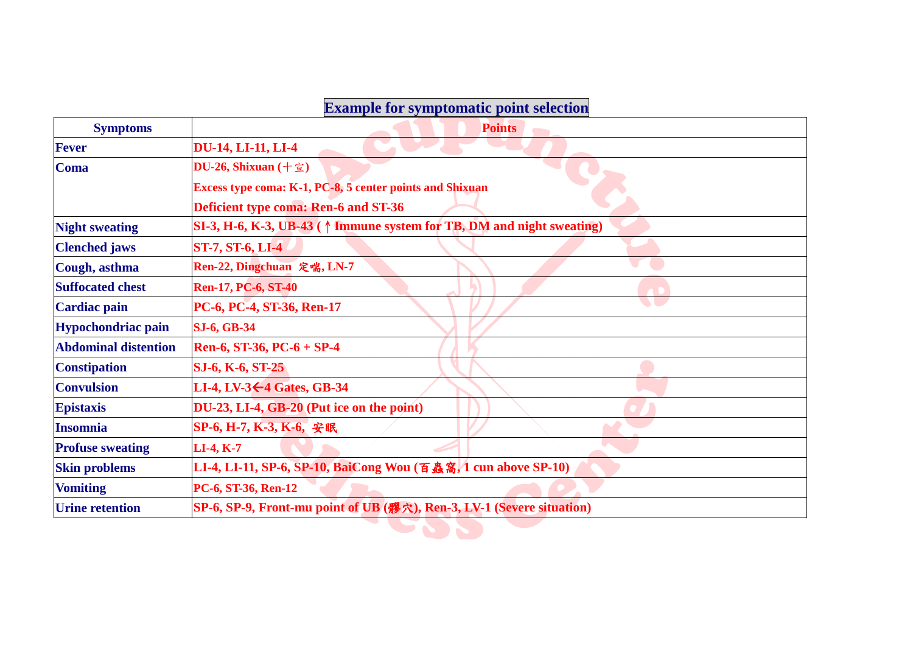## **Example for symptomatic point selection**

| <b>Symptoms</b>             | <b>Points</b>                                                                   |  |  |  |  |  |
|-----------------------------|---------------------------------------------------------------------------------|--|--|--|--|--|
| <b>Fever</b>                | <b>DU-14, LI-11, LI-4</b>                                                       |  |  |  |  |  |
| <b>Coma</b>                 | DU-26, Shixuan $(+ \hat{\Xi})$                                                  |  |  |  |  |  |
|                             | Excess type coma: K-1, PC-8, 5 center points and Shixuan                        |  |  |  |  |  |
|                             | Deficient type coma: Ren-6 and ST-36                                            |  |  |  |  |  |
| <b>Night sweating</b>       | SI-3, H-6, K-3, UB-43 ( $\uparrow$ Immune system for TB, DM and night sweating) |  |  |  |  |  |
| <b>Clenched jaws</b>        | <b>ST-7, ST-6, LI-4</b>                                                         |  |  |  |  |  |
| Cough, asthma               | Ren-22, Dingchuan 定喘, LN-7                                                      |  |  |  |  |  |
| <b>Suffocated chest</b>     | <b>Ren-17, PC-6, ST-40</b>                                                      |  |  |  |  |  |
| <b>Cardiac pain</b>         | PC-6, PC-4, ST-36, Ren-17                                                       |  |  |  |  |  |
| <b>Hypochondriac pain</b>   | <b>SJ-6, GB-34</b>                                                              |  |  |  |  |  |
| <b>Abdominal distention</b> | Ren-6, ST-36, PC-6 + SP-4                                                       |  |  |  |  |  |
| <b>Constipation</b>         | SJ-6, K-6, ST-25                                                                |  |  |  |  |  |
| <b>Convulsion</b>           | LI-4, LV-3 $\leftarrow$ 4 Gates, GB-34                                          |  |  |  |  |  |
| <b>Epistaxis</b>            | DU-23, LI-4, GB-20 (Put ice on the point)                                       |  |  |  |  |  |
| <b>Insomnia</b>             | SP-6, H-7, K-3, K-6, 安眠                                                         |  |  |  |  |  |
| <b>Profuse sweating</b>     | $LI-4, K-7$                                                                     |  |  |  |  |  |
| <b>Skin problems</b>        | LI-4, LI-11, SP-6, SP-10, BaiCong Wou (百蟲窩, 1 cun above SP-10)                  |  |  |  |  |  |
| <b>Vomiting</b>             | PC-6, ST-36, Ren-12                                                             |  |  |  |  |  |
| <b>Urine retention</b>      | SP-6, SP-9, Front-mu point of UB (髎穴), Ren-3, LV-1 (Severe situation)           |  |  |  |  |  |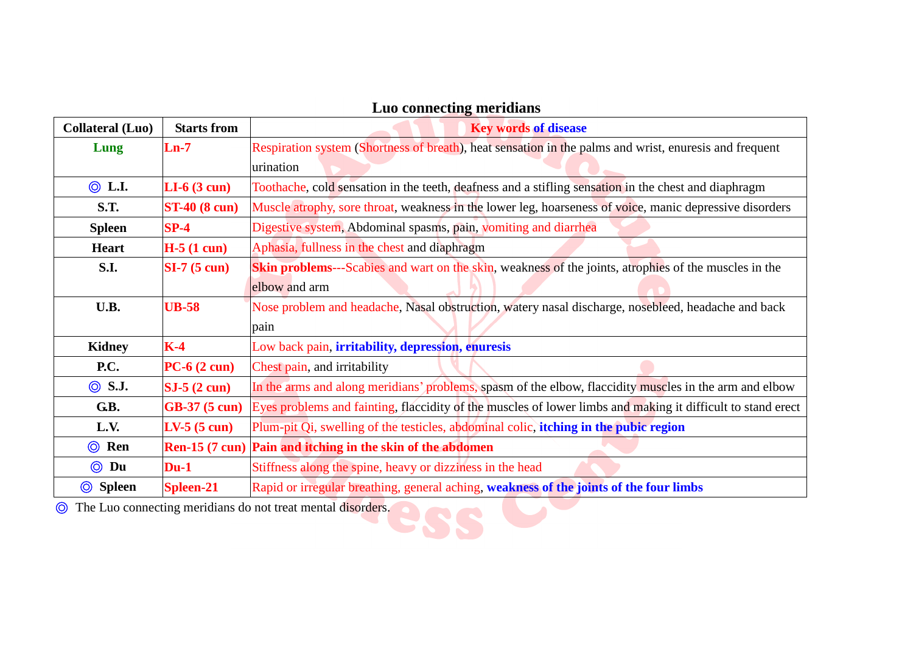| <b>Collateral</b> (Luo)                                                                                                    | <b>Starts from</b>    | <b>Key words of disease</b>                                                                                  |
|----------------------------------------------------------------------------------------------------------------------------|-----------------------|--------------------------------------------------------------------------------------------------------------|
| Lung                                                                                                                       | $Ln-7$                | Respiration system (Shortness of breath), heat sensation in the palms and wrist, enuresis and frequent       |
|                                                                                                                            |                       | urination                                                                                                    |
| $\circledcirc$ L.I.                                                                                                        | $LI-6$ (3 cun)        | Toothache, cold sensation in the teeth, deafness and a stifling sensation in the chest and diaphragm         |
| <b>S.T.</b>                                                                                                                | <b>ST-40 (8 cun)</b>  | Muscle atrophy, sore throat, weakness in the lower leg, hoarseness of voice, manic depressive disorders      |
| <b>Spleen</b>                                                                                                              | $SP-4$                | Digestive system, Abdominal spasms, pain, vomiting and diarrhea                                              |
| <b>Heart</b>                                                                                                               | $H-5(1 \text{ cum})$  | Aphasia, fullness in the chest and diaphragm                                                                 |
| S.I.                                                                                                                       | $SI-7(5 \text{ cun})$ | <b>Skin problems</b> —-Scabies and wart on the skin, weakness of the joints, atrophies of the muscles in the |
|                                                                                                                            |                       | elbow and arm                                                                                                |
| U.B.<br>Nose problem and headache, Nasal obstruction, watery nasal discharge, nosebleed, headache and back<br><b>UB-58</b> |                       |                                                                                                              |
|                                                                                                                            |                       | pain                                                                                                         |
| <b>Kidney</b>                                                                                                              | $K-4$                 | Low back pain, irritability, depression, enuresis                                                            |
| <b>P.C.</b>                                                                                                                | $PC-6(2 \text{ cun})$ | Chest pain, and irritability                                                                                 |
| $\circledcirc$ S.J.                                                                                                        | $SJ-5(2 \text{ cun})$ | In the arms and along meridians' problems, spasm of the elbow, flaccidity muscles in the arm and elbow       |
| G.B.                                                                                                                       | <b>GB-37 (5 cun)</b>  | Eyes problems and fainting, flaccidity of the muscles of lower limbs and making it difficult to stand erect  |
| L.V.                                                                                                                       | $LV-5(5 \text{ cun})$ | Plum-pit Qi, swelling of the testicles, abdominal colic, itching in the pubic region                         |
| $\odot$ Ren                                                                                                                |                       | Ren-15 (7 cun) Pain and itching in the skin of the abdomen                                                   |
| $\circledcirc$<br>Du                                                                                                       | $Du-1$                | Stiffness along the spine, heavy or dizziness in the head                                                    |
| <b>Spleen</b><br>◎                                                                                                         | <b>Spleen-21</b>      | Rapid or irregular breathing, general aching, weakness of the joints of the four limbs                       |

## **Luo connecting meridians**

◎ The Luo connecting meridians do not treat mental disorders.